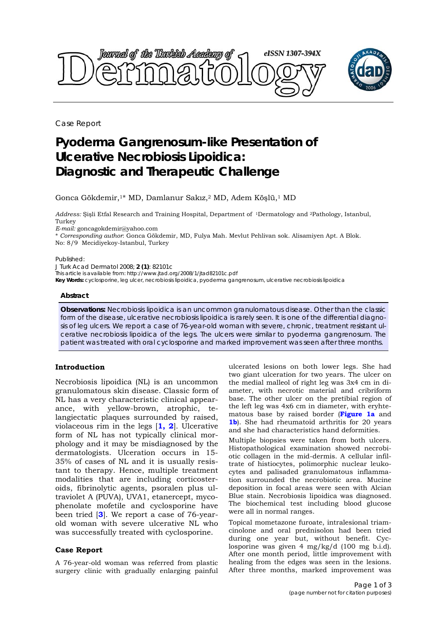

Case Report

# **Pyoderma Gangrenosum-like Presentation of Ulcerative Necrobiosis Lipoidica: Diagnostic and Therapeutic Challenge**

Gonca Gökdemir,1\* MD, Damlanur Sakız,2 MD, Adem Köşlü,1 MD

*Address:* Şişli Etfal Research and Training Hospital, Department of 1Dermatology and 2Pathology, Istanbul, Turkey

*E-mail:* goncagokdemir@yahoo.com

\* *Corresponding author*: Gonca Gökdemir, MD, Fulya Mah. Mevlut Pehlivan sok. Alisamiyen Apt. A Blok. No: 8/9 Mecidiyekoy-Istanbul, Turkey

Published:

*J Turk Acad Dermatol* 2008; **2 (1)**: 82101c

This article is available from: http://www.jtad.org/2008/1/jtad82101c.pdf

**Key Words:** cyclosporine, leg ulcer, necrobiosis lipoidica, pyoderma gangrenosum, ulcerative necrobiosis lipoidica

#### **Abstract**

**Observations:** Necrobiosis lipoidica is an uncommon granulomatous disease. Other than the classic form of the disease, ulcerative necrobiosis lipoidica is rarely seen. It is one of the differential diagnosis of leg ulcers. We report a case of 76-year-old woman with severe, chronic, treatment resistant ulcerative necrobiosis lipoidica of the legs. The ulcers were similar to pyoderma gangrenosum. The patient was treated with oral cyclosporine and marked improvement was seen after three months.

## **Introduction**

Necrobiosis lipoidica (NL) is an uncommon granulomatous skin disease. Classic form of NL has a very characteristic clinical appearance, with yellow-brown, atrophic, telangiectatic plaques surrounded by raised, violaceous rim in the legs [**1, 2**]. Ulcerative form of NL has not typically clinical morphology and it may be misdiagnosed by the dermatologists. Ulceration occurs in 15- 35% of cases of NL and it is usually resistant to therapy. Hence, multiple treatment modalities that are including corticosteroids, fibrinolytic agents, psoralen plus ultraviolet A (PUVA), UVA1, etanercept, mycophenolate mofetile and cyclosporine have been tried [**3**]. We report a case of 76-yearold woman with severe ulcerative NL who was successfully treated with cyclosporine.

## **Case Report**

A 76-year-old woman was referred from plastic surgery clinic with gradually enlarging painful ulcerated lesions on both lower legs. She had two giant ulceration for two years. The ulcer on the medial malleol of right leg was 3x4 cm in diameter, with necrotic material and cribriform base. The other ulcer on the pretibial region of the left leg was 4x6 cm in diameter, with eryhtematous base by raised border (**Figure 1a** and **1b**). She had rheumatoid arthritis for 20 years and she had characteristics hand deformities.

Multiple biopsies were taken from both ulcers. Histopathological examination showed necrobiotic collagen in the mid-dermis. A cellular infiltrate of histiocytes, polimorphic nuclear leukocytes and palisaded granulomatous inflammation surrounded the necrobiotic area. Mucine deposition in focal areas were seen with Alcian Blue stain. Necrobiosis lipoidica was diagnosed. The biochemical test including blood glucose were all in normal ranges.

Topical mometazone furoate, intralesional triamcinolone and oral prednisolon had been tried during one year but, without benefit. Cyclosporine was given 4 mg/kg/d (100 mg b.i.d). After one month period, little improvement with healing from the edges was seen in the lesions. After three months, marked improvement was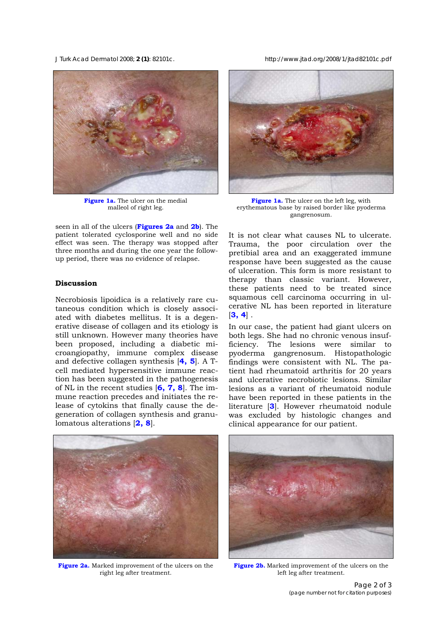*J Turk Acad Dermatol* 2008; **2 (1)**: 82101c. http://www.jtad.org/2008/1/jtad82101c.pdf



**Figure 1a.** The ulcer on the medial malleol of right leg.

seen in all of the ulcers (**Figures 2a** and **2b**). The patient tolerated cyclosporine well and no side effect was seen. The therapy was stopped after three months and during the one year the followup period, there was no evidence of relapse.

## **Discussion**

Necrobiosis lipoidica is a relatively rare cutaneous condition which is closely associated with diabetes mellitus. It is a degenerative disease of collagen and its etiology is still unknown. However many theories have been proposed, including a diabetic microangiopathy, immune complex disease and defective collagen synthesis [**4, 5**]. A Tcell mediated hypersensitive immune reaction has been suggested in the pathogenesis of NL in the recent studies [**6, 7, 8**]. The immune reaction precedes and initiates the release of cytokins that finally cause the degeneration of collagen synthesis and granulomatous alterations [**2, 8**].



**Figure 1a.** The ulcer on the left leg, with erythematous base by raised border like pyoderma gangrenosum.

It is not clear what causes NL to ulcerate. Trauma, the poor circulation over the pretibial area and an exaggerated immune response have been suggested as the cause of ulceration. This form is more resistant to therapy than classic variant. However, these patients need to be treated since squamous cell carcinoma occurring in ulcerative NL has been reported in literature [**3, 4**] .

In our case, the patient had giant ulcers on both legs. She had no chronic venous insufficiency. The lesions were similar to pyoderma gangrenosum. Histopathologic findings were consistent with NL. The patient had rheumatoid arthritis for 20 years and ulcerative necrobiotic lesions. Similar lesions as a variant of rheumatoid nodule have been reported in these patients in the literature [**3**]. However rheumatoid nodule was excluded by histologic changes and clinical appearance for our patient.



**Figure 2a.** Marked improvement of the ulcers on the right leg after treatment.



Figure 2b. Marked improvement of the ulcers on the left leg after treatment.